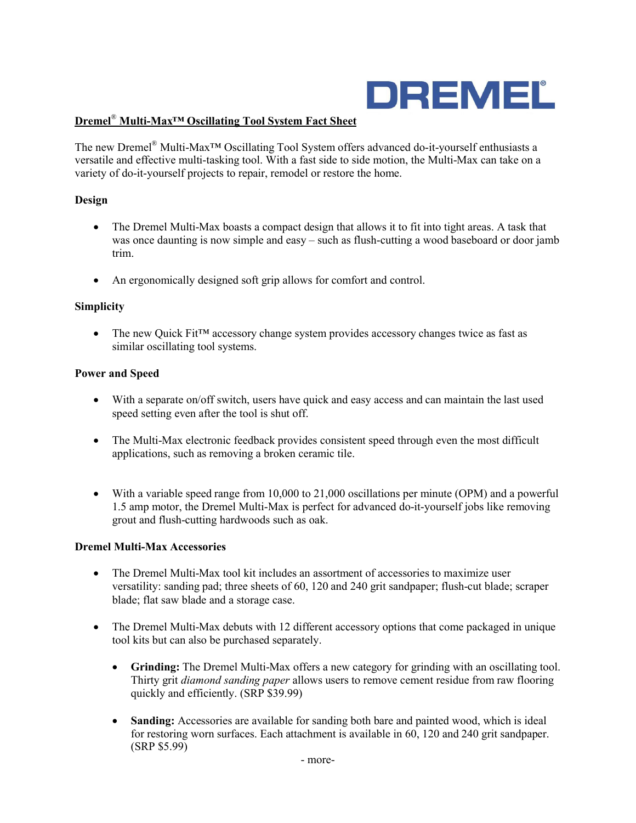

# **Dremel**® **Multi-Max™ Oscillating Tool System Fact Sheet**

The new Dremel® Multi-Max™ Oscillating Tool System offers advanced do-it-yourself enthusiasts a versatile and effective multi-tasking tool. With a fast side to side motion, the Multi-Max can take on a variety of do-it-yourself projects to repair, remodel or restore the home.

### **Design**

- The Dremel Multi-Max boasts a compact design that allows it to fit into tight areas. A task that was once daunting is now simple and easy – such as flush-cutting a wood baseboard or door jamb trim.
- An ergonomically designed soft grip allows for comfort and control.

### **Simplicity**

• The new Quick Fit<sup>TM</sup> accessory change system provides accessory changes twice as fast as similar oscillating tool systems.

### **Power and Speed**

- With a separate on/off switch, users have quick and easy access and can maintain the last used speed setting even after the tool is shut off.
- The Multi-Max electronic feedback provides consistent speed through even the most difficult applications, such as removing a broken ceramic tile.
- With a variable speed range from 10,000 to 21,000 oscillations per minute (OPM) and a powerful 1.5 amp motor, the Dremel Multi-Max is perfect for advanced do-it-yourself jobs like removing grout and flush-cutting hardwoods such as oak.

### **Dremel Multi-Max Accessories**

- The Dremel Multi-Max tool kit includes an assortment of accessories to maximize user versatility: sanding pad; three sheets of 60, 120 and 240 grit sandpaper; flush-cut blade; scraper blade; flat saw blade and a storage case.
- The Dremel Multi-Max debuts with 12 different accessory options that come packaged in unique tool kits but can also be purchased separately.
	- **Grinding:** The Dremel Multi-Max offers a new category for grinding with an oscillating tool. Thirty grit *diamond sanding paper* allows users to remove cement residue from raw flooring quickly and efficiently. (SRP \$39.99)
	- **Sanding:** Accessories are available for sanding both bare and painted wood, which is ideal for restoring worn surfaces. Each attachment is available in 60, 120 and 240 grit sandpaper. (SRP \$5.99)